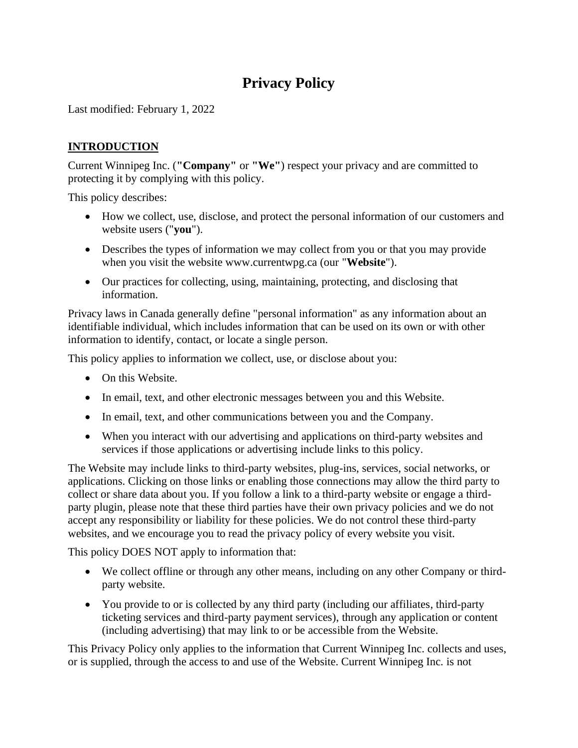# **Privacy Policy**

Last modified: February 1, 2022

## **INTRODUCTION**

Current Winnipeg Inc. (**"Company"** or **"We"**) respect your privacy and are committed to protecting it by complying with this policy.

This policy describes:

- How we collect, use, disclose, and protect the personal information of our customers and website users ("**you**").
- Describes the types of information we may collect from you or that you may provide when you visit the website www.currentwpg.ca (our "**Website**").
- Our practices for collecting, using, maintaining, protecting, and disclosing that information.

Privacy laws in Canada generally define "personal information" as any information about an identifiable individual, which includes information that can be used on its own or with other information to identify, contact, or locate a single person.

This policy applies to information we collect, use, or disclose about you:

- On this Website.
- In email, text, and other electronic messages between you and this Website.
- In email, text, and other communications between you and the Company.
- When you interact with our advertising and applications on third-party websites and services if those applications or advertising include links to this policy.

The Website may include links to third-party websites, plug-ins, services, social networks, or applications. Clicking on those links or enabling those connections may allow the third party to collect or share data about you. If you follow a link to a third-party website or engage a thirdparty plugin, please note that these third parties have their own privacy policies and we do not accept any responsibility or liability for these policies. We do not control these third-party websites, and we encourage you to read the privacy policy of every website you visit.

This policy DOES NOT apply to information that:

- We collect offline or through any other means, including on any other Company or thirdparty website.
- You provide to or is collected by any third party (including our affiliates, third-party ticketing services and third-party payment services), through any application or content (including advertising) that may link to or be accessible from the Website.

This Privacy Policy only applies to the information that Current Winnipeg Inc. collects and uses, or is supplied, through the access to and use of the Website. Current Winnipeg Inc. is not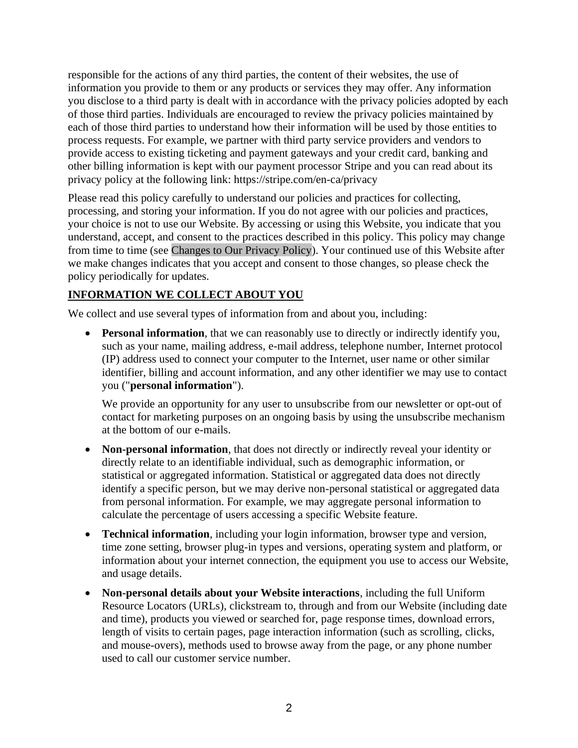responsible for the actions of any third parties, the content of their websites, the use of information you provide to them or any products or services they may offer. Any information you disclose to a third party is dealt with in accordance with the privacy policies adopted by each of those third parties. Individuals are encouraged to review the privacy policies maintained by each of those third parties to understand how their information will be used by those entities to process requests. For example, we partner with third party service providers and vendors to provide access to existing ticketing and payment gateways and your credit card, banking and other billing information is kept with our payment processor Stripe and you can read about its privacy policy at the following link: https://stripe.com/en-ca/privacy

Please read this policy carefully to understand our policies and practices for collecting, processing, and storing your information. If you do not agree with our policies and practices, your choice is not to use our Website. By accessing or using this Website, you indicate that you understand, accept, and consent to the practices described in this policy. This policy may change from time to time (see [Changes to Our Privacy Policy\)](#page-7-0). Your continued use of this Website after we make changes indicates that you accept and consent to those changes, so please check the policy periodically for updates.

## **INFORMATION WE COLLECT ABOUT YOU**

We collect and use several types of information from and about you, including:

• **Personal information**, that we can reasonably use to directly or indirectly identify you, such as your name, mailing address, e-mail address, telephone number, Internet protocol (IP) address used to connect your computer to the Internet, user name or other similar identifier, billing and account information, and any other identifier we may use to contact you ("**personal information**").

We provide an opportunity for any user to unsubscribe from our newsletter or opt-out of contact for marketing purposes on an ongoing basis by using the unsubscribe mechanism at the bottom of our e-mails.

- **Non-personal information**, that does not directly or indirectly reveal your identity or directly relate to an identifiable individual, such as demographic information, or statistical or aggregated information. Statistical or aggregated data does not directly identify a specific person, but we may derive non-personal statistical or aggregated data from personal information. For example, we may aggregate personal information to calculate the percentage of users accessing a specific Website feature.
- **Technical information**, including your login information, browser type and version, time zone setting, browser plug-in types and versions, operating system and platform, or information about your internet connection, the equipment you use to access our Website, and usage details.
- **Non-personal details about your Website interactions**, including the full Uniform Resource Locators (URLs), clickstream to, through and from our Website (including date and time), products you viewed or searched for, page response times, download errors, length of visits to certain pages, page interaction information (such as scrolling, clicks, and mouse-overs), methods used to browse away from the page, or any phone number used to call our customer service number.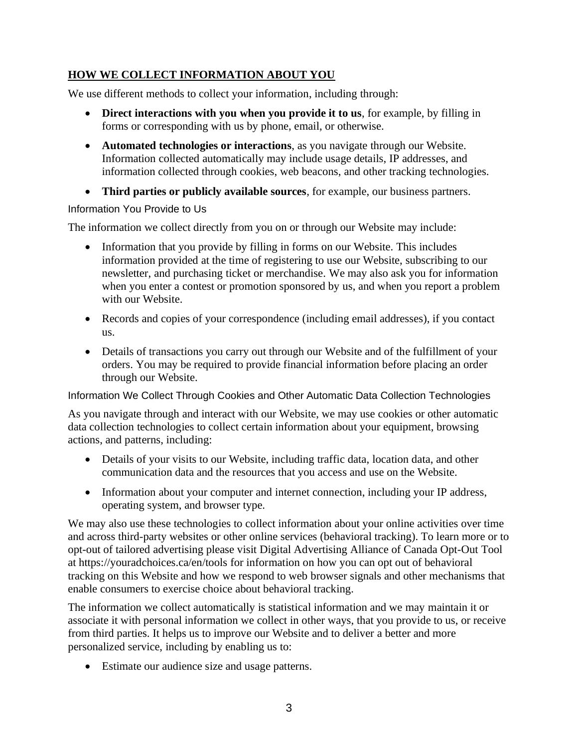## **HOW WE COLLECT INFORMATION ABOUT YOU**

We use different methods to collect your information, including through:

- **Direct interactions with you when you provide it to us**, for example, by filling in forms or corresponding with us by phone, email, or otherwise.
- **Automated technologies or interactions**, as you navigate through our Website. Information collected automatically may include usage details, IP addresses, and information collected through cookies, web beacons, and other tracking technologies.
- **Third parties or publicly available sources**, for example, our business partners.

#### Information You Provide to Us

The information we collect directly from you on or through our Website may include:

- Information that you provide by filling in forms on our Website. This includes information provided at the time of registering to use our Website, subscribing to our newsletter, and purchasing ticket or merchandise. We may also ask you for information when you enter a contest or promotion sponsored by us, and when you report a problem with our Website.
- Records and copies of your correspondence (including email addresses), if you contact us.
- Details of transactions you carry out through our Website and of the fulfillment of your orders. You may be required to provide financial information before placing an order through our Website.

<span id="page-2-0"></span>Information We Collect Through Cookies and Other Automatic Data Collection Technologies

As you navigate through and interact with our Website, we may use cookies or other automatic data collection technologies to collect certain information about your equipment, browsing actions, and patterns, including:

- Details of your visits to our Website, including traffic data, location data, and other communication data and the resources that you access and use on the Website.
- Information about your computer and internet connection, including your IP address, operating system, and browser type.

We may also use these technologies to collect information about your online activities over time and across third-party websites or other online services (behavioral tracking). To learn more or to opt-out of tailored advertising please visit Digital Advertising Alliance of Canada Opt-Out Tool at<https://youradchoices.ca/en/tools> for information on how you can opt out of behavioral tracking on this Website and how we respond to web browser signals and other mechanisms that enable consumers to exercise choice about behavioral tracking.

The information we collect automatically is statistical information and we may maintain it or associate it with personal information we collect in other ways, that you provide to us, or receive from third parties. It helps us to improve our Website and to deliver a better and more personalized service, including by enabling us to:

• Estimate our audience size and usage patterns.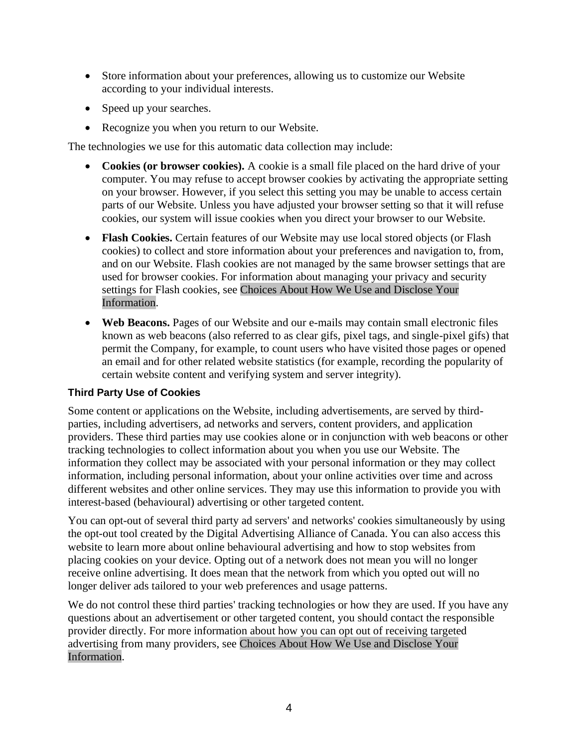- Store information about your preferences, allowing us to customize our Website according to your individual interests.
- Speed up your searches.
- Recognize you when you return to our Website.

The technologies we use for this automatic data collection may include:

- **Cookies (or browser cookies).** A cookie is a small file placed on the hard drive of your computer. You may refuse to accept browser cookies by activating the appropriate setting on your browser. However, if you select this setting you may be unable to access certain parts of our Website. Unless you have adjusted your browser setting so that it will refuse cookies, our system will issue cookies when you direct your browser to our Website.
- **Flash Cookies.** Certain features of our Website may use local stored objects (or Flash cookies) to collect and store information about your preferences and navigation to, from, and on our Website. Flash cookies are not managed by the same browser settings that are used for browser cookies. For information about managing your privacy and security settings for Flash cookies, see [Choices About How We Use and Disclose Your](#page-5-0)  [Information.](#page-5-0)
- **Web Beacons.** Pages of our Website and our e-mails may contain small electronic files known as web beacons (also referred to as clear gifs, pixel tags, and single-pixel gifs) that permit the Company, for example, to count users who have visited those pages or opened an email and for other related website statistics (for example, recording the popularity of certain website content and verifying system and server integrity).

#### **Third Party Use of Cookies**

Some content or applications on the Website, including advertisements, are served by thirdparties, including advertisers, ad networks and servers, content providers, and application providers. These third parties may use cookies alone or in conjunction with web beacons or other tracking technologies to collect information about you when you use our Website. The information they collect may be associated with your personal information or they may collect information, including personal information, about your online activities over time and across different websites and other online services. They may use this information to provide you with interest-based (behavioural) advertising or other targeted content.

You can opt-out of several third party ad servers' and networks' cookies simultaneously by using the opt-out tool created by the Digital Advertising Alliance of Canada. You can also access this website to learn more about online behavioural advertising and how to stop websites from placing cookies on your device. Opting out of a network does not mean you will no longer receive online advertising. It does mean that the network from which you opted out will no longer deliver ads tailored to your web preferences and usage patterns.

We do not control these third parties' tracking technologies or how they are used. If you have any questions about an advertisement or other targeted content, you should contact the responsible provider directly. For more information about how you can opt out of receiving targeted advertising from many providers, see [Choices About How We Use and Disclose Your](#page-5-0)  [Information.](#page-5-0)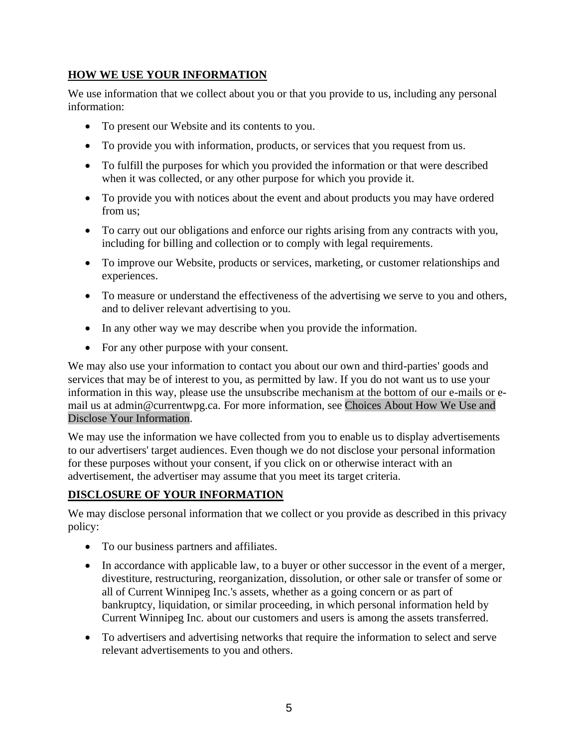## **HOW WE USE YOUR INFORMATION**

We use information that we collect about you or that you provide to us, including any personal information:

- To present our Website and its contents to you.
- To provide you with information, products, or services that you request from us.
- To fulfill the purposes for which you provided the information or that were described when it was collected, or any other purpose for which you provide it.
- To provide you with notices about the event and about products you may have ordered from us;
- To carry out our obligations and enforce our rights arising from any contracts with you, including for billing and collection or to comply with legal requirements.
- To improve our Website, products or services, marketing, or customer relationships and experiences.
- To measure or understand the effectiveness of the advertising we serve to you and others, and to deliver relevant advertising to you.
- In any other way we may describe when you provide the information.
- For any other purpose with your consent.

We may also use your information to contact you about our own and third-parties' goods and services that may be of interest to you, as permitted by law. If you do not want us to use your information in this way, please use the unsubscribe mechanism at the bottom of our e-mails or email us at admin@currentwpg.ca. For more information, see [Choices About How We Use and](#page-5-0) [Disclose Your Information.](#page-5-0)

We may use the information we have collected from you to enable us to display advertisements to our advertisers' target audiences. Even though we do not disclose your personal information for these purposes without your consent, if you click on or otherwise interact with an advertisement, the advertiser may assume that you meet its target criteria.

# **DISCLOSURE OF YOUR INFORMATION**

We may disclose personal information that we collect or you provide as described in this privacy policy:

- To our business partners and affiliates.
- In accordance with applicable law, to a buyer or other successor in the event of a merger, divestiture, restructuring, reorganization, dissolution, or other sale or transfer of some or all of Current Winnipeg Inc.'s assets, whether as a going concern or as part of bankruptcy, liquidation, or similar proceeding, in which personal information held by Current Winnipeg Inc. about our customers and users is among the assets transferred.
- To advertisers and advertising networks that require the information to select and serve relevant advertisements to you and others.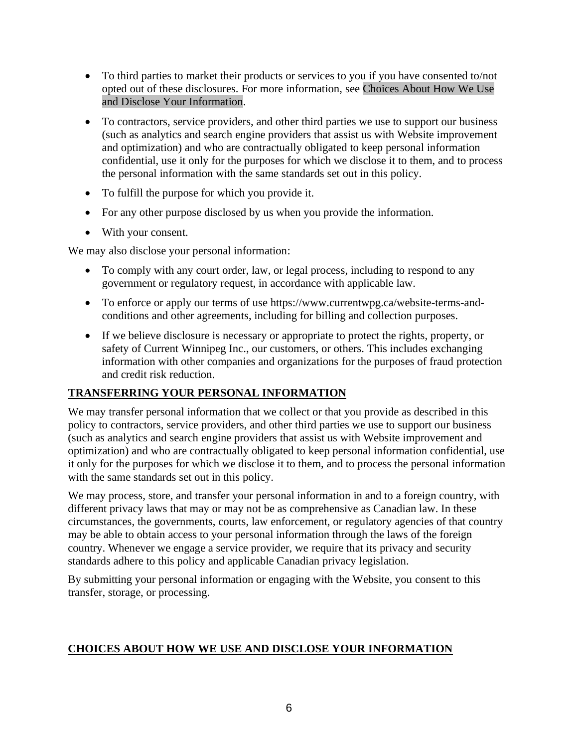- To third parties to market their products or services to you if you have consented to/not opted out of these disclosures. For more information, see [Choices About How We Use](#page-5-0)  [and Disclose Your Information.](#page-5-0)
- To contractors, service providers, and other third parties we use to support our business (such as analytics and search engine providers that assist us with Website improvement and optimization) and who are contractually obligated to keep personal information confidential, use it only for the purposes for which we disclose it to them, and to process the personal information with the same standards set out in this policy.
- To fulfill the purpose for which you provide it.
- For any other purpose disclosed by us when you provide the information.
- With your consent.

We may also disclose your personal information:

- To comply with any court order, law, or legal process, including to respond to any government or regulatory request, in accordance with applicable law.
- To enforce or apply our terms of use https://www.currentwpg.ca/website-terms-andconditions and other agreements, including for billing and collection purposes.
- If we believe disclosure is necessary or appropriate to protect the rights, property, or safety of Current Winnipeg Inc., our customers, or others. This includes exchanging information with other companies and organizations for the purposes of fraud protection and credit risk reduction.

## **TRANSFERRING YOUR PERSONAL INFORMATION**

We may transfer personal information that we collect or that you provide as described in this policy to contractors, service providers, and other third parties we use to support our business (such as analytics and search engine providers that assist us with Website improvement and optimization) and who are contractually obligated to keep personal information confidential, use it only for the purposes for which we disclose it to them, and to process the personal information with the same standards set out in this policy.

We may process, store, and transfer your personal information in and to a foreign country, with different privacy laws that may or may not be as comprehensive as Canadian law. In these circumstances, the governments, courts, law enforcement, or regulatory agencies of that country may be able to obtain access to your personal information through the laws of the foreign country. Whenever we engage a service provider, we require that its privacy and security standards adhere to this policy and applicable Canadian privacy legislation.

By submitting your personal information or engaging with the Website, you consent to this transfer, storage, or processing.

#### <span id="page-5-0"></span>**CHOICES ABOUT HOW WE USE AND DISCLOSE YOUR INFORMATION**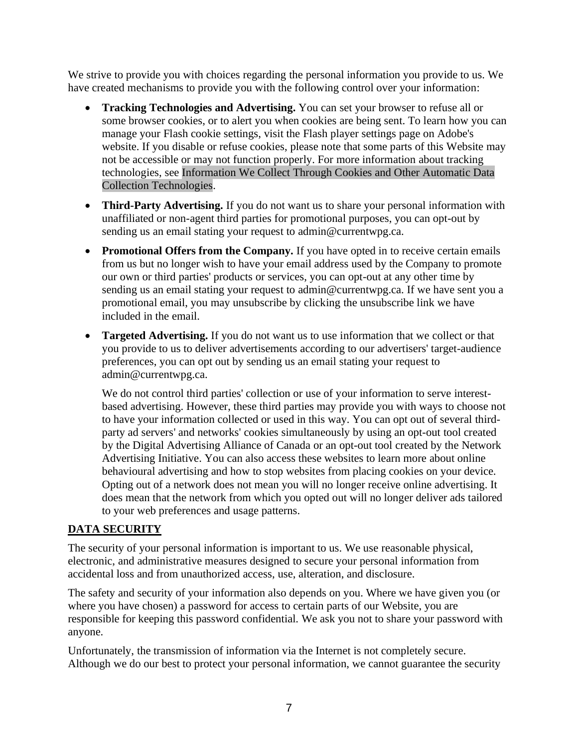We strive to provide you with choices regarding the personal information you provide to us. We have created mechanisms to provide you with the following control over your information:

- **Tracking Technologies and Advertising.** You can set your browser to refuse all or some browser cookies, or to alert you when cookies are being sent. To learn how you can manage your Flash cookie settings, visit the Flash player settings page on Adobe's website. If you disable or refuse cookies, please note that some parts of this Website may not be accessible or may not function properly. For more information about tracking technologies, see [Information We Collect Through Cookies and Other Automatic Data](#page-2-0)  [Collection Technologies.](#page-2-0)
- **Third-Party Advertising.** If you do not want us to share your personal information with unaffiliated or non-agent third parties for promotional purposes, you can opt-out by sending us an email stating your request to admin@currentwpg.ca.
- **Promotional Offers from the Company.** If you have opted in to receive certain emails from us but no longer wish to have your email address used by the Company to promote our own or third parties' products or services, you can opt-out at any other time by sending us an email stating your request to admin@currentwpg.ca. If we have sent you a promotional email, you may unsubscribe by clicking the unsubscribe link we have included in the email.
- **Targeted Advertising.** If you do not want us to use information that we collect or that you provide to us to deliver advertisements according to our advertisers' target-audience preferences, you can opt out by sending us an email stating your request to admin@currentwpg.ca.

We do not control third parties' collection or use of your information to serve interestbased advertising. However, these third parties may provide you with ways to choose not to have your information collected or used in this way. You can opt out of several thirdparty ad servers' and networks' cookies simultaneously by using an opt-out tool created by the Digital Advertising Alliance of Canada or an opt-out tool created by the Network Advertising Initiative. You can also access these websites to learn more about online behavioural advertising and how to stop websites from placing cookies on your device. Opting out of a network does not mean you will no longer receive online advertising. It does mean that the network from which you opted out will no longer deliver ads tailored to your web preferences and usage patterns.

# **DATA SECURITY**

The security of your personal information is important to us. We use reasonable physical, electronic, and administrative measures designed to secure your personal information from accidental loss and from unauthorized access, use, alteration, and disclosure.

The safety and security of your information also depends on you. Where we have given you (or where you have chosen) a password for access to certain parts of our Website, you are responsible for keeping this password confidential. We ask you not to share your password with anyone.

Unfortunately, the transmission of information via the Internet is not completely secure. Although we do our best to protect your personal information, we cannot guarantee the security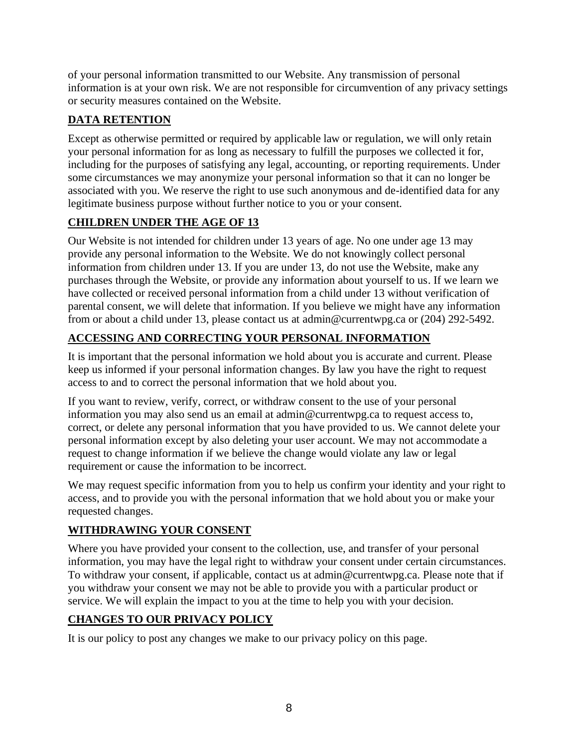of your personal information transmitted to our Website. Any transmission of personal information is at your own risk. We are not responsible for circumvention of any privacy settings or security measures contained on the Website.

# **DATA RETENTION**

Except as otherwise permitted or required by applicable law or regulation, we will only retain your personal information for as long as necessary to fulfill the purposes we collected it for, including for the purposes of satisfying any legal, accounting, or reporting requirements. Under some circumstances we may anonymize your personal information so that it can no longer be associated with you. We reserve the right to use such anonymous and de-identified data for any legitimate business purpose without further notice to you or your consent.

# **CHILDREN UNDER THE AGE OF 13**

Our Website is not intended for children under 13 years of age. No one under age 13 may provide any personal information to the Website. We do not knowingly collect personal information from children under 13. If you are under 13, do not use the Website, make any purchases through the Website, or provide any information about yourself to us. If we learn we have collected or received personal information from a child under 13 without verification of parental consent, we will delete that information. If you believe we might have any information from or about a child under 13, please contact us at admin@currentwpg.ca or (204) 292-5492.

# **ACCESSING AND CORRECTING YOUR PERSONAL INFORMATION**

It is important that the personal information we hold about you is accurate and current. Please keep us informed if your personal information changes. By law you have the right to request access to and to correct the personal information that we hold about you.

If you want to review, verify, correct, or withdraw consent to the use of your personal information you may also send us an email at admin@currentwpg.ca to request access to, correct, or delete any personal information that you have provided to us. We cannot delete your personal information except by also deleting your user account. We may not accommodate a request to change information if we believe the change would violate any law or legal requirement or cause the information to be incorrect.

We may request specific information from you to help us confirm your identity and your right to access, and to provide you with the personal information that we hold about you or make your requested changes.

# **WITHDRAWING YOUR CONSENT**

Where you have provided your consent to the collection, use, and transfer of your personal information, you may have the legal right to withdraw your consent under certain circumstances. To withdraw your consent, if applicable, contact us at admin@currentwpg.ca. Please note that if you withdraw your consent we may not be able to provide you with a particular product or service. We will explain the impact to you at the time to help you with your decision.

# <span id="page-7-0"></span>**CHANGES TO OUR PRIVACY POLICY**

It is our policy to post any changes we make to our privacy policy on this page.